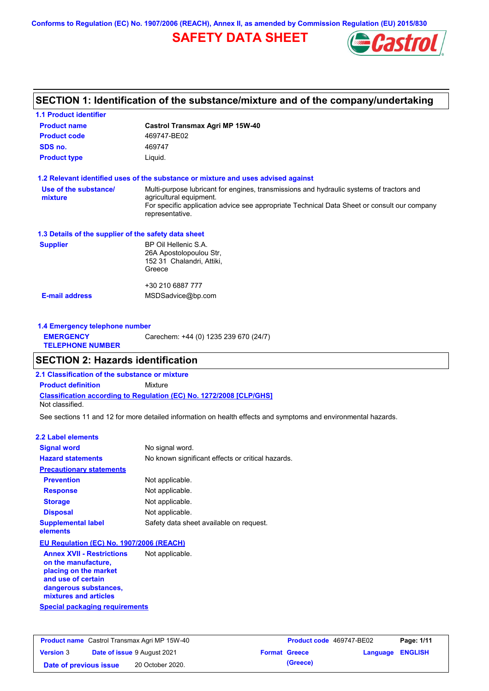**Conforms to Regulation (EC) No. 1907/2006 (REACH), Annex II, as amended by Commission Regulation (EU) 2015/830**

## **SAFETY DATA SHEET**



### **SECTION 1: Identification of the substance/mixture and of the company/undertaking**

| <b>1.1 Product identifier</b>                        |                                                                                                                |
|------------------------------------------------------|----------------------------------------------------------------------------------------------------------------|
| <b>Product name</b>                                  | <b>Castrol Transmax Agri MP 15W-40</b>                                                                         |
| <b>Product code</b>                                  | 469747-BE02                                                                                                    |
| SDS no.                                              | 469747                                                                                                         |
| <b>Product type</b>                                  | Liquid.                                                                                                        |
|                                                      | 1.2 Relevant identified uses of the substance or mixture and uses advised against                              |
| Use of the substance/                                | Multi-purpose lubricant for engines, transmissions and hydraulic systems of tractors and                       |
| mixture                                              | agricultural equipment.                                                                                        |
|                                                      | For specific application advice see appropriate Technical Data Sheet or consult our company<br>representative. |
| 1.3 Details of the supplier of the safety data sheet |                                                                                                                |
| <b>Supplier</b>                                      | BP Oil Hellenic S.A.                                                                                           |
|                                                      | 26A Apostolopoulou Str,                                                                                        |
|                                                      | 152 31 Chalandri, Attiki,<br>Greece                                                                            |
|                                                      |                                                                                                                |
|                                                      | +30 210 6887 777                                                                                               |
| <b>E-mail address</b>                                | MSDSadvice@bp.com                                                                                              |
| 1.4 Emergency telephone number                       |                                                                                                                |
| <b>EMERGENCY</b>                                     | Carechem: +44 (0) 1235 239 670 (24/7)                                                                          |

### **SECTION 2: Hazards identification**

**2.1 Classification of the substance or mixture**

**Classification according to Regulation (EC) No. 1272/2008 [CLP/GHS] Product definition** Mixture

Not classified.

**TELEPHONE NUMBER**

See sections 11 and 12 for more detailed information on health effects and symptoms and environmental hazards.

#### **2.2 Label elements**

| <b>Signal word</b>                                      | No signal word.                                   |
|---------------------------------------------------------|---------------------------------------------------|
| <b>Hazard statements</b>                                | No known significant effects or critical hazards. |
| <b>Precautionary statements</b>                         |                                                   |
| <b>Prevention</b>                                       | Not applicable.                                   |
| <b>Response</b>                                         | Not applicable.                                   |
| <b>Storage</b>                                          | Not applicable.                                   |
| <b>Disposal</b>                                         | Not applicable.                                   |
| <b>Supplemental label</b><br>elements                   | Safety data sheet available on request.           |
| EU Regulation (EC) No. 1907/2006 (REACH)                |                                                   |
| <b>Annex XVII - Restrictions</b><br>on the manufacture, | Not applicable.                                   |

**Special packaging requirements placing on the market and use of certain dangerous substances, mixtures and articles**

| <b>Product name</b> Castrol Transmax Agri MP 15W-40 |  | <b>Product code</b> 469747-BE02 |  | Page: 1/11           |                         |  |
|-----------------------------------------------------|--|---------------------------------|--|----------------------|-------------------------|--|
| <b>Version 3</b>                                    |  | Date of issue 9 August 2021     |  | <b>Format Greece</b> | <b>Language ENGLISH</b> |  |
| Date of previous issue                              |  | 20 October 2020.                |  | (Greece)             |                         |  |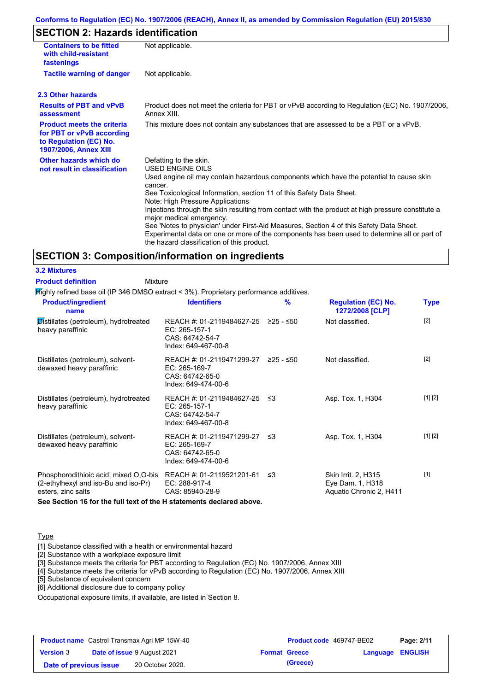#### **Conforms to Regulation (EC) No. 1907/2006 (REACH), Annex II, as amended by Commission Regulation (EU) 2015/830**

### **SECTION 2: Hazards identification**

| <b>Containers to be fitted</b><br>with child-resistant<br>fastenings                                                     | Not applicable.                                                                                                                                                                                                                                                                                                                                                                                                                                                                                                                                                                                                                        |
|--------------------------------------------------------------------------------------------------------------------------|----------------------------------------------------------------------------------------------------------------------------------------------------------------------------------------------------------------------------------------------------------------------------------------------------------------------------------------------------------------------------------------------------------------------------------------------------------------------------------------------------------------------------------------------------------------------------------------------------------------------------------------|
| <b>Tactile warning of danger</b>                                                                                         | Not applicable.                                                                                                                                                                                                                                                                                                                                                                                                                                                                                                                                                                                                                        |
| 2.3 Other hazards                                                                                                        |                                                                                                                                                                                                                                                                                                                                                                                                                                                                                                                                                                                                                                        |
| <b>Results of PBT and vPvB</b><br>assessment                                                                             | Product does not meet the criteria for PBT or vPvB according to Regulation (EC) No. 1907/2006,<br>Annex XIII.                                                                                                                                                                                                                                                                                                                                                                                                                                                                                                                          |
| <b>Product meets the criteria</b><br>for PBT or vPvB according<br>to Regulation (EC) No.<br><b>1907/2006, Annex XIII</b> | This mixture does not contain any substances that are assessed to be a PBT or a vPvB.                                                                                                                                                                                                                                                                                                                                                                                                                                                                                                                                                  |
| Other hazards which do<br>not result in classification                                                                   | Defatting to the skin.<br>USED ENGINE OILS<br>Used engine oil may contain hazardous components which have the potential to cause skin<br>cancer.<br>See Toxicological Information, section 11 of this Safety Data Sheet.<br>Note: High Pressure Applications<br>Injections through the skin resulting from contact with the product at high pressure constitute a<br>major medical emergency.<br>See 'Notes to physician' under First-Aid Measures, Section 4 of this Safety Data Sheet.<br>Experimental data on one or more of the components has been used to determine all or part of<br>the hazard classification of this product. |

#### **SECTION 3: Composition/information on ingredients**

**3.2 Mixtures Product definition**

Mixture

Highly refined base oil (IP 346 DMSO extract < 3%). Proprietary performance additives.

| <b>Product/ingredient</b><br>name                                                                   | <b>Identifiers</b>                                                                             | $\frac{9}{6}$ | <b>Regulation (EC) No.</b><br>1272/2008 [CLP]                      | <b>Type</b> |
|-----------------------------------------------------------------------------------------------------|------------------------------------------------------------------------------------------------|---------------|--------------------------------------------------------------------|-------------|
| Distillates (petroleum), hydrotreated<br>heavy paraffinic                                           | REACH #: 01-2119484627-25 ≥25 - ≤50<br>EC: 265-157-1<br>CAS: 64742-54-7<br>Index: 649-467-00-8 |               | Not classified.                                                    | $[2]$       |
| Distillates (petroleum), solvent-<br>dewaxed heavy paraffinic                                       | REACH #: 01-2119471299-27<br>EC: 265-169-7<br>CAS: 64742-65-0<br>Index: 649-474-00-6           | ≥25 - ≤50     | Not classified.                                                    | $[2]$       |
| Distillates (petroleum), hydrotreated<br>heavy paraffinic                                           | REACH #: 01-2119484627-25 ≤3<br>EC: 265-157-1<br>CAS: 64742-54-7<br>Index: 649-467-00-8        |               | Asp. Tox. 1, H304                                                  | [1] [2]     |
| Distillates (petroleum), solvent-<br>dewaxed heavy paraffinic                                       | REACH #: 01-2119471299-27 ≤3<br>EC: 265-169-7<br>CAS: 64742-65-0<br>Index: 649-474-00-6        |               | Asp. Tox. 1, H304                                                  | [1] [2]     |
| Phosphorodithioic acid, mixed O,O-bis<br>(2-ethylhexyl and iso-Bu and iso-Pr)<br>esters, zinc salts | REACH #: 01-2119521201-61<br>EC: 288-917-4<br>CAS: 85940-28-9                                  | ≲3            | Skin Irrit. 2, H315<br>Eye Dam. 1, H318<br>Aquatic Chronic 2, H411 | $[1]$       |
| See Section 16 for the full text of the H statements declared above.                                |                                                                                                |               |                                                                    |             |

**Type** 

[1] Substance classified with a health or environmental hazard

[2] Substance with a workplace exposure limit

[3] Substance meets the criteria for PBT according to Regulation (EC) No. 1907/2006, Annex XIII

[4] Substance meets the criteria for vPvB according to Regulation (EC) No. 1907/2006, Annex XIII

[5] Substance of equivalent concern

[6] Additional disclosure due to company policy

Occupational exposure limits, if available, are listed in Section 8.

| <b>Product name</b> Castrol Transmax Agri MP 15W-40 |  | Product code 469747-BE02           |                      | Page: 2/11              |  |
|-----------------------------------------------------|--|------------------------------------|----------------------|-------------------------|--|
| <b>Version 3</b>                                    |  | <b>Date of issue 9 August 2021</b> | <b>Format Greece</b> | <b>Language ENGLISH</b> |  |
| Date of previous issue                              |  | 20 October 2020.                   | (Greece)             |                         |  |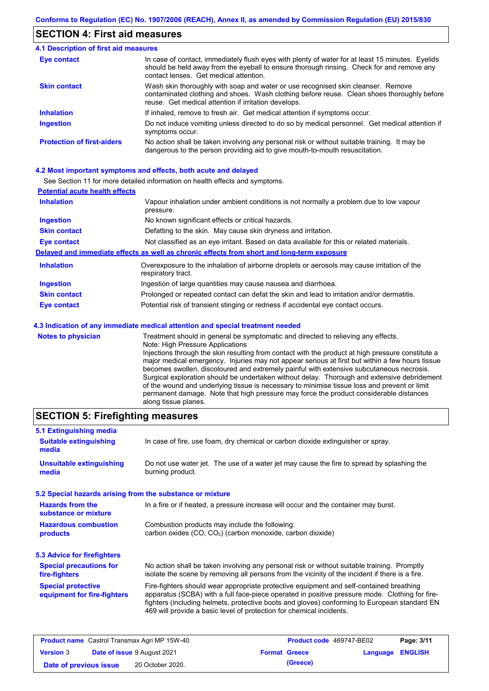### **SECTION 4: First aid measures**

#### Do not induce vomiting unless directed to do so by medical personnel. Get medical attention if symptoms occur. In case of contact, immediately flush eyes with plenty of water for at least 15 minutes. Eyelids should be held away from the eyeball to ensure thorough rinsing. Check for and remove any contact lenses. Get medical attention. **4.1 Description of first aid measures** If inhaled, remove to fresh air. Get medical attention if symptoms occur. **Ingestion Inhalation Eye contact Protection of first-aiders** No action shall be taken involving any personal risk or without suitable training. It may be dangerous to the person providing aid to give mouth-to-mouth resuscitation. **Skin contact** Wash skin thoroughly with soap and water or use recognised skin cleanser. Remove contaminated clothing and shoes. Wash clothing before reuse. Clean shoes thoroughly before reuse. Get medical attention if irritation develops.

#### **4.2 Most important symptoms and effects, both acute and delayed**

See Section 11 for more detailed information on health effects and symptoms.

| <b>Potential acute health effects</b> |                                                                                                                   |
|---------------------------------------|-------------------------------------------------------------------------------------------------------------------|
| <b>Inhalation</b>                     | Vapour inhalation under ambient conditions is not normally a problem due to low vapour<br>pressure.               |
| <b>Ingestion</b>                      | No known significant effects or critical hazards.                                                                 |
| <b>Skin contact</b>                   | Defatting to the skin. May cause skin dryness and irritation.                                                     |
| <b>Eye contact</b>                    | Not classified as an eye irritant. Based on data available for this or related materials.                         |
|                                       | Delayed and immediate effects as well as chronic effects from short and long-term exposure                        |
| <b>Inhalation</b>                     | Overexposure to the inhalation of airborne droplets or aerosols may cause irritation of the<br>respiratory tract. |
| <b>Ingestion</b>                      | Ingestion of large quantities may cause nausea and diarrhoea.                                                     |
| <b>Skin contact</b>                   | Prolonged or repeated contact can defat the skin and lead to irritation and/or dermatitis.                        |
| Eye contact                           | Potential risk of transient stinging or redness if accidental eye contact occurs.                                 |
|                                       | 4.3 Indication of any immediate medical attention and special treatment needed                                    |
| Notes to physician                    | Treatment should in general he symptomatic and directed to relieving any effects                                  |

**Notes to physician** Treatment should in general be symptomatic and directed to relieving any effects. Note: High Pressure Applications Injections through the skin resulting from contact with the product at high pressure constitute a major medical emergency. Injuries may not appear serious at first but within a few hours tissue becomes swollen, discoloured and extremely painful with extensive subcutaneous necrosis. Surgical exploration should be undertaken without delay. Thorough and extensive debridement of the wound and underlying tissue is necessary to minimise tissue loss and prevent or limit permanent damage. Note that high pressure may force the product considerable distances along tissue planes.

### **SECTION 5: Firefighting measures**

| 5.1 Extinguishing media                                   |                                                                                                                                                                                                                                                                                                                                                                   |
|-----------------------------------------------------------|-------------------------------------------------------------------------------------------------------------------------------------------------------------------------------------------------------------------------------------------------------------------------------------------------------------------------------------------------------------------|
| <b>Suitable extinguishing</b><br>media                    | In case of fire, use foam, dry chemical or carbon dioxide extinguisher or spray.                                                                                                                                                                                                                                                                                  |
| <b>Unsuitable extinguishing</b><br>media                  | Do not use water jet. The use of a water jet may cause the fire to spread by splashing the<br>burning product.                                                                                                                                                                                                                                                    |
| 5.2 Special hazards arising from the substance or mixture |                                                                                                                                                                                                                                                                                                                                                                   |
| <b>Hazards from the</b><br>substance or mixture           | In a fire or if heated, a pressure increase will occur and the container may burst.                                                                                                                                                                                                                                                                               |
| <b>Hazardous combustion</b><br>products                   | Combustion products may include the following:<br>carbon oxides (CO, CO <sub>2</sub> ) (carbon monoxide, carbon dioxide)                                                                                                                                                                                                                                          |
| 5.3 Advice for firefighters                               |                                                                                                                                                                                                                                                                                                                                                                   |
| <b>Special precautions for</b><br>fire-fighters           | No action shall be taken involving any personal risk or without suitable training. Promptly<br>isolate the scene by removing all persons from the vicinity of the incident if there is a fire.                                                                                                                                                                    |
| <b>Special protective</b><br>equipment for fire-fighters  | Fire-fighters should wear appropriate protective equipment and self-contained breathing<br>apparatus (SCBA) with a full face-piece operated in positive pressure mode. Clothing for fire-<br>fighters (including helmets, protective boots and gloves) conforming to European standard EN<br>469 will provide a basic level of protection for chemical incidents. |

|                        | <b>Product name</b> Castrol Transmax Agri MP 15W-40 | <b>Product code</b> 469747-BE02 |                         | Page: 3/11 |
|------------------------|-----------------------------------------------------|---------------------------------|-------------------------|------------|
| <b>Version 3</b>       | <b>Date of issue 9 August 2021</b>                  | <b>Format Greece</b>            | <b>Language ENGLISH</b> |            |
| Date of previous issue | 20 October 2020.                                    | (Greece)                        |                         |            |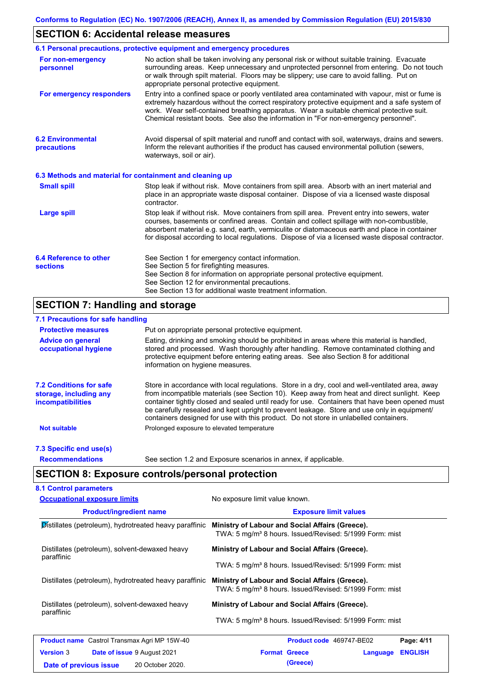### **SECTION 6: Accidental release measures**

|                                                          | 6.1 Personal precautions, protective equipment and emergency procedures                                                                                                                                                                                                                                                                                                                        |
|----------------------------------------------------------|------------------------------------------------------------------------------------------------------------------------------------------------------------------------------------------------------------------------------------------------------------------------------------------------------------------------------------------------------------------------------------------------|
| For non-emergency<br>personnel                           | No action shall be taken involving any personal risk or without suitable training. Evacuate<br>surrounding areas. Keep unnecessary and unprotected personnel from entering. Do not touch<br>or walk through spilt material. Floors may be slippery; use care to avoid falling. Put on<br>appropriate personal protective equipment.                                                            |
| For emergency responders                                 | Entry into a confined space or poorly ventilated area contaminated with vapour, mist or fume is<br>extremely hazardous without the correct respiratory protective equipment and a safe system of<br>work. Wear self-contained breathing apparatus. Wear a suitable chemical protective suit.<br>Chemical resistant boots. See also the information in "For non-emergency personnel".           |
| <b>6.2 Environmental</b><br>precautions                  | Avoid dispersal of spilt material and runoff and contact with soil, waterways, drains and sewers.<br>Inform the relevant authorities if the product has caused environmental pollution (sewers,<br>waterways, soil or air).                                                                                                                                                                    |
| 6.3 Methods and material for containment and cleaning up |                                                                                                                                                                                                                                                                                                                                                                                                |
| <b>Small spill</b>                                       | Stop leak if without risk. Move containers from spill area. Absorb with an inert material and<br>place in an appropriate waste disposal container. Dispose of via a licensed waste disposal<br>contractor.                                                                                                                                                                                     |
| <b>Large spill</b>                                       | Stop leak if without risk. Move containers from spill area. Prevent entry into sewers, water<br>courses, basements or confined areas. Contain and collect spillage with non-combustible,<br>absorbent material e.g. sand, earth, vermiculite or diatomaceous earth and place in container<br>for disposal according to local regulations. Dispose of via a licensed waste disposal contractor. |
| 6.4 Reference to other<br><b>sections</b>                | See Section 1 for emergency contact information.<br>See Section 5 for firefighting measures.<br>See Section 8 for information on appropriate personal protective equipment.<br>See Section 12 for environmental precautions.<br>See Section 13 for additional waste treatment information.                                                                                                     |

### **SECTION 7: Handling and storage**

### **7.1 Precautions for safe handling**

| <b>Protective measures</b>                                                           | Put on appropriate personal protective equipment.                                                                                                                                                                                                                                                                                                                                                                                                                                        |
|--------------------------------------------------------------------------------------|------------------------------------------------------------------------------------------------------------------------------------------------------------------------------------------------------------------------------------------------------------------------------------------------------------------------------------------------------------------------------------------------------------------------------------------------------------------------------------------|
| <b>Advice on general</b><br>occupational hygiene                                     | Eating, drinking and smoking should be prohibited in areas where this material is handled,<br>stored and processed. Wash thoroughly after handling. Remove contaminated clothing and<br>protective equipment before entering eating areas. See also Section 8 for additional<br>information on hygiene measures.                                                                                                                                                                         |
| <b>7.2 Conditions for safe</b><br>storage, including any<br><i>incompatibilities</i> | Store in accordance with local requiations. Store in a dry, cool and well-ventilated area, away<br>from incompatible materials (see Section 10). Keep away from heat and direct sunlight. Keep<br>container tightly closed and sealed until ready for use. Containers that have been opened must<br>be carefully resealed and kept upright to prevent leakage. Store and use only in equipment/<br>containers designed for use with this product. Do not store in unlabelled containers. |
| <b>Not suitable</b>                                                                  | Prolonged exposure to elevated temperature                                                                                                                                                                                                                                                                                                                                                                                                                                               |
| 7.3 Specific end use(s)                                                              |                                                                                                                                                                                                                                                                                                                                                                                                                                                                                          |
| <b>Recommendations</b>                                                               | See section 1.2 and Exposure scenarios in annex, if applicable.                                                                                                                                                                                                                                                                                                                                                                                                                          |

## **SECTION 8: Exposure controls/personal protection**

| <b>Occupational exposure limits</b>                          | No exposure limit value known.                                                                                         |  |  |  |
|--------------------------------------------------------------|------------------------------------------------------------------------------------------------------------------------|--|--|--|
| <b>Product/ingredient name</b>                               | <b>Exposure limit values</b>                                                                                           |  |  |  |
| Distillates (petroleum), hydrotreated heavy paraffinic       | Ministry of Labour and Social Affairs (Greece).<br>TWA: 5 mg/m <sup>3</sup> 8 hours. Issued/Revised: 5/1999 Form: mist |  |  |  |
| Distillates (petroleum), solvent-dewaxed heavy<br>paraffinic | Ministry of Labour and Social Affairs (Greece).                                                                        |  |  |  |
|                                                              | TWA: 5 mg/m <sup>3</sup> 8 hours. Issued/Revised: 5/1999 Form: mist                                                    |  |  |  |
| Distillates (petroleum), hydrotreated heavy paraffinic       | Ministry of Labour and Social Affairs (Greece).<br>TWA: 5 mg/m <sup>3</sup> 8 hours. Issued/Revised: 5/1999 Form: mist |  |  |  |
| Distillates (petroleum), solvent-dewaxed heavy               | Ministry of Labour and Social Affairs (Greece).                                                                        |  |  |  |
| paraffinic                                                   | TWA: 5 mg/m <sup>3</sup> 8 hours. Issued/Revised: 5/1999 Form: mist                                                    |  |  |  |
| <b>Product name</b> Castrol Transmax Agri MP 15W-40          | Page: 4/11<br>Product code 469747-BE02                                                                                 |  |  |  |
| <b>Version 3</b><br><b>Date of issue 9 August 2021</b>       | <b>Format Greece</b><br><b>ENGLISH</b><br>Language                                                                     |  |  |  |
| 20 October 2020.<br>Date of previous issue                   | (Greece)                                                                                                               |  |  |  |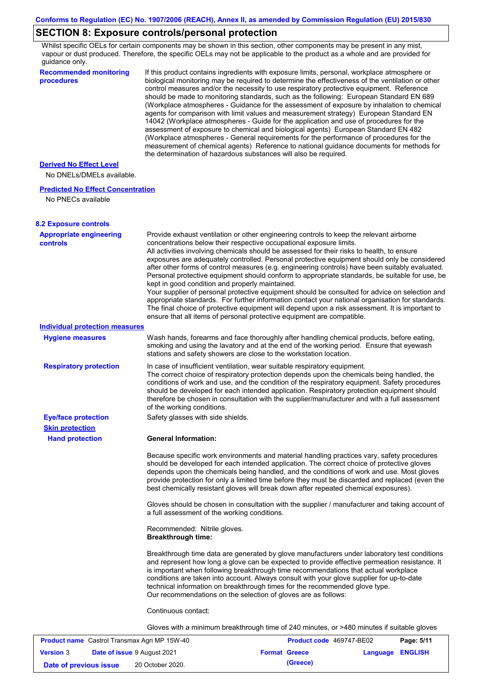## **SECTION 8: Exposure controls/personal protection**

Whilst specific OELs for certain components may be shown in this section, other components may be present in any mist, vapour or dust produced. Therefore, the specific OELs may not be applicable to the product as a whole and are provided for guidance only.

| <b>Recommended monitoring</b><br>procedures          | If this product contains ingredients with exposure limits, personal, workplace atmosphere or<br>biological monitoring may be required to determine the effectiveness of the ventilation or other<br>control measures and/or the necessity to use respiratory protective equipment. Reference<br>should be made to monitoring standards, such as the following: European Standard EN 689<br>(Workplace atmospheres - Guidance for the assessment of exposure by inhalation to chemical<br>agents for comparison with limit values and measurement strategy) European Standard EN<br>14042 (Workplace atmospheres - Guide for the application and use of procedures for the<br>assessment of exposure to chemical and biological agents) European Standard EN 482<br>(Workplace atmospheres - General requirements for the performance of procedures for the<br>measurement of chemical agents) Reference to national guidance documents for methods for<br>the determination of hazardous substances will also be required. |
|------------------------------------------------------|----------------------------------------------------------------------------------------------------------------------------------------------------------------------------------------------------------------------------------------------------------------------------------------------------------------------------------------------------------------------------------------------------------------------------------------------------------------------------------------------------------------------------------------------------------------------------------------------------------------------------------------------------------------------------------------------------------------------------------------------------------------------------------------------------------------------------------------------------------------------------------------------------------------------------------------------------------------------------------------------------------------------------|
| <b>Derived No Effect Level</b>                       |                                                                                                                                                                                                                                                                                                                                                                                                                                                                                                                                                                                                                                                                                                                                                                                                                                                                                                                                                                                                                            |
| No DNELs/DMELs available.                            |                                                                                                                                                                                                                                                                                                                                                                                                                                                                                                                                                                                                                                                                                                                                                                                                                                                                                                                                                                                                                            |
| <b>Predicted No Effect Concentration</b>             |                                                                                                                                                                                                                                                                                                                                                                                                                                                                                                                                                                                                                                                                                                                                                                                                                                                                                                                                                                                                                            |
| No PNECs available                                   |                                                                                                                                                                                                                                                                                                                                                                                                                                                                                                                                                                                                                                                                                                                                                                                                                                                                                                                                                                                                                            |
| <b>8.2 Exposure controls</b>                         |                                                                                                                                                                                                                                                                                                                                                                                                                                                                                                                                                                                                                                                                                                                                                                                                                                                                                                                                                                                                                            |
| <b>Appropriate engineering</b><br><b>controls</b>    | Provide exhaust ventilation or other engineering controls to keep the relevant airborne<br>concentrations below their respective occupational exposure limits.<br>All activities involving chemicals should be assessed for their risks to health, to ensure<br>exposures are adequately controlled. Personal protective equipment should only be considered<br>after other forms of control measures (e.g. engineering controls) have been suitably evaluated.<br>Personal protective equipment should conform to appropriate standards, be suitable for use, be<br>kept in good condition and properly maintained.<br>Your supplier of personal protective equipment should be consulted for advice on selection and<br>appropriate standards. For further information contact your national organisation for standards.<br>The final choice of protective equipment will depend upon a risk assessment. It is important to<br>ensure that all items of personal protective equipment are compatible.                    |
| <b>Individual protection measures</b>                |                                                                                                                                                                                                                                                                                                                                                                                                                                                                                                                                                                                                                                                                                                                                                                                                                                                                                                                                                                                                                            |
| <b>Hygiene measures</b>                              | Wash hands, forearms and face thoroughly after handling chemical products, before eating,<br>smoking and using the lavatory and at the end of the working period. Ensure that eyewash<br>stations and safety showers are close to the workstation location.                                                                                                                                                                                                                                                                                                                                                                                                                                                                                                                                                                                                                                                                                                                                                                |
| <b>Respiratory protection</b>                        | In case of insufficient ventilation, wear suitable respiratory equipment.<br>The correct choice of respiratory protection depends upon the chemicals being handled, the<br>conditions of work and use, and the condition of the respiratory equipment. Safety procedures<br>should be developed for each intended application. Respiratory protection equipment should<br>therefore be chosen in consultation with the supplier/manufacturer and with a full assessment<br>of the working conditions.                                                                                                                                                                                                                                                                                                                                                                                                                                                                                                                      |
| <b>Eye/face protection</b><br><b>Skin protection</b> | Safety glasses with side shields.                                                                                                                                                                                                                                                                                                                                                                                                                                                                                                                                                                                                                                                                                                                                                                                                                                                                                                                                                                                          |
| <b>Hand protection</b>                               | <b>General Information:</b>                                                                                                                                                                                                                                                                                                                                                                                                                                                                                                                                                                                                                                                                                                                                                                                                                                                                                                                                                                                                |
|                                                      | Because specific work environments and material handling practices vary, safety procedures<br>should be developed for each intended application. The correct choice of protective gloves<br>depends upon the chemicals being handled, and the conditions of work and use. Most gloves<br>provide protection for only a limited time before they must be discarded and replaced (even the<br>best chemically resistant gloves will break down after repeated chemical exposures).                                                                                                                                                                                                                                                                                                                                                                                                                                                                                                                                           |
|                                                      | Gloves should be chosen in consultation with the supplier / manufacturer and taking account of<br>a full assessment of the working conditions.                                                                                                                                                                                                                                                                                                                                                                                                                                                                                                                                                                                                                                                                                                                                                                                                                                                                             |
|                                                      | Recommended: Nitrile gloves.<br><b>Breakthrough time:</b>                                                                                                                                                                                                                                                                                                                                                                                                                                                                                                                                                                                                                                                                                                                                                                                                                                                                                                                                                                  |
|                                                      | Breakthrough time data are generated by glove manufacturers under laboratory test conditions<br>and represent how long a glove can be expected to provide effective permeation resistance. It<br>is important when following breakthrough time recommendations that actual workplace<br>conditions are taken into account. Always consult with your glove supplier for up-to-date<br>technical information on breakthrough times for the recommended glove type.<br>Our recommendations on the selection of gloves are as follows:                                                                                                                                                                                                                                                                                                                                                                                                                                                                                         |
|                                                      | Continuous contact:                                                                                                                                                                                                                                                                                                                                                                                                                                                                                                                                                                                                                                                                                                                                                                                                                                                                                                                                                                                                        |
|                                                      | Gloves with a minimum breakthrough time of 240 minutes, or >480 minutes if suitable gloves                                                                                                                                                                                                                                                                                                                                                                                                                                                                                                                                                                                                                                                                                                                                                                                                                                                                                                                                 |
|                                                      |                                                                                                                                                                                                                                                                                                                                                                                                                                                                                                                                                                                                                                                                                                                                                                                                                                                                                                                                                                                                                            |

| <b>Product name</b> Castrol Transmax Agri MP 15W-40 |  | <b>Product code</b> 469747-BE02    |  | Page: 5/11           |                         |  |
|-----------------------------------------------------|--|------------------------------------|--|----------------------|-------------------------|--|
| <b>Version 3</b>                                    |  | <b>Date of issue 9 August 2021</b> |  | <b>Format Greece</b> | <b>Language ENGLISH</b> |  |
| Date of previous issue                              |  | 20 October 2020.                   |  | (Greece)             |                         |  |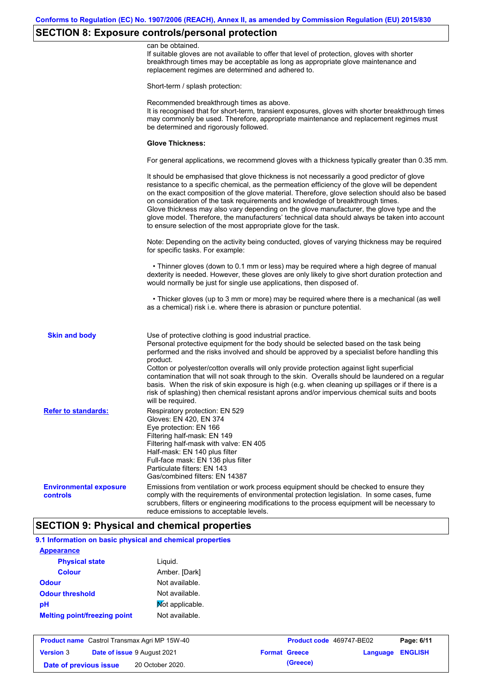## **SECTION 8: Exposure controls/personal protection**

|                                           | can be obtained.<br>If suitable gloves are not available to offer that level of protection, gloves with shorter<br>breakthrough times may be acceptable as long as appropriate glove maintenance and<br>replacement regimes are determined and adhered to.                                                                                                                                                                                                                                                                                                                                                                                                       |
|-------------------------------------------|------------------------------------------------------------------------------------------------------------------------------------------------------------------------------------------------------------------------------------------------------------------------------------------------------------------------------------------------------------------------------------------------------------------------------------------------------------------------------------------------------------------------------------------------------------------------------------------------------------------------------------------------------------------|
|                                           | Short-term / splash protection:                                                                                                                                                                                                                                                                                                                                                                                                                                                                                                                                                                                                                                  |
|                                           | Recommended breakthrough times as above.<br>It is recognised that for short-term, transient exposures, gloves with shorter breakthrough times<br>may commonly be used. Therefore, appropriate maintenance and replacement regimes must<br>be determined and rigorously followed.                                                                                                                                                                                                                                                                                                                                                                                 |
|                                           | <b>Glove Thickness:</b>                                                                                                                                                                                                                                                                                                                                                                                                                                                                                                                                                                                                                                          |
|                                           | For general applications, we recommend gloves with a thickness typically greater than 0.35 mm.                                                                                                                                                                                                                                                                                                                                                                                                                                                                                                                                                                   |
|                                           | It should be emphasised that glove thickness is not necessarily a good predictor of glove<br>resistance to a specific chemical, as the permeation efficiency of the glove will be dependent<br>on the exact composition of the glove material. Therefore, glove selection should also be based<br>on consideration of the task requirements and knowledge of breakthrough times.<br>Glove thickness may also vary depending on the glove manufacturer, the glove type and the<br>glove model. Therefore, the manufacturers' technical data should always be taken into account<br>to ensure selection of the most appropriate glove for the task.                |
|                                           | Note: Depending on the activity being conducted, gloves of varying thickness may be required<br>for specific tasks. For example:                                                                                                                                                                                                                                                                                                                                                                                                                                                                                                                                 |
|                                           | • Thinner gloves (down to 0.1 mm or less) may be required where a high degree of manual<br>dexterity is needed. However, these gloves are only likely to give short duration protection and<br>would normally be just for single use applications, then disposed of.                                                                                                                                                                                                                                                                                                                                                                                             |
|                                           | • Thicker gloves (up to 3 mm or more) may be required where there is a mechanical (as well<br>as a chemical) risk i.e. where there is abrasion or puncture potential.                                                                                                                                                                                                                                                                                                                                                                                                                                                                                            |
| <b>Skin and body</b>                      | Use of protective clothing is good industrial practice.<br>Personal protective equipment for the body should be selected based on the task being<br>performed and the risks involved and should be approved by a specialist before handling this<br>product.<br>Cotton or polyester/cotton overalls will only provide protection against light superficial<br>contamination that will not soak through to the skin. Overalls should be laundered on a regular<br>basis. When the risk of skin exposure is high (e.g. when cleaning up spillages or if there is a<br>risk of splashing) then chemical resistant aprons and/or impervious chemical suits and boots |
| <b>Refer to standards:</b>                | will be required.<br>Respiratory protection: EN 529<br>Gloves: EN 420, EN 374<br>Eye protection: EN 166<br>Filtering half-mask: EN 149<br>Filtering half-mask with valve: EN 405<br>Half-mask: EN 140 plus filter<br>Full-face mask: EN 136 plus filter<br>Particulate filters: EN 143<br>Gas/combined filters: EN 14387                                                                                                                                                                                                                                                                                                                                         |
| <b>Environmental exposure</b><br>controls | Emissions from ventilation or work process equipment should be checked to ensure they<br>comply with the requirements of environmental protection legislation. In some cases, fume<br>scrubbers, filters or engineering modifications to the process equipment will be necessary to<br>reduce emissions to acceptable levels.                                                                                                                                                                                                                                                                                                                                    |

# **9.1 Information on basic physical and chemical properties**

| <b>Appearance</b>                   |                 |
|-------------------------------------|-----------------|
| <b>Physical state</b>               | Liguid.         |
| <b>Colour</b>                       | Amber. [Dark]   |
| <b>Odour</b>                        | Not available.  |
| <b>Odour threshold</b>              | Not available.  |
| рH                                  | Not applicable. |
| <b>Melting point/freezing point</b> | Not available.  |

| <b>Product name</b> Castrol Transmax Agri MP 15W-40 |  |                             | <b>Product code</b> 469747-BE02 |                      | Page: 6/11              |  |
|-----------------------------------------------------|--|-----------------------------|---------------------------------|----------------------|-------------------------|--|
| <b>Version 3</b>                                    |  | Date of issue 9 August 2021 |                                 | <b>Format Greece</b> | <b>Language ENGLISH</b> |  |
| Date of previous issue                              |  | 20 October 2020.            |                                 | (Greece)             |                         |  |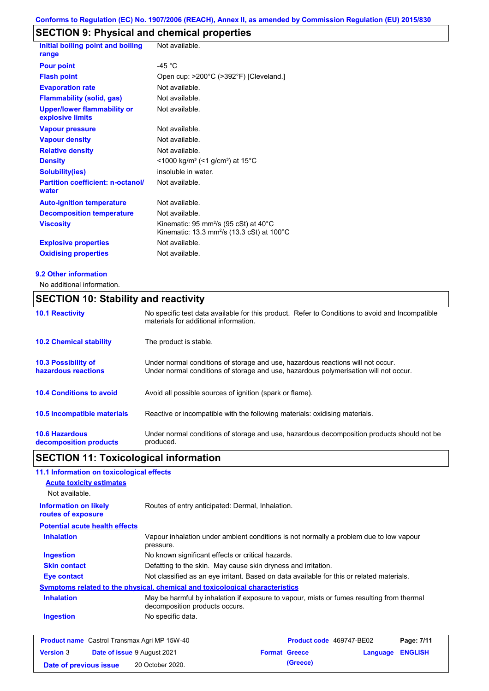## **SECTION 9: Physical and chemical properties**

| Initial boiling point and boiling<br>range             | Not available.                                                                                                         |
|--------------------------------------------------------|------------------------------------------------------------------------------------------------------------------------|
| <b>Pour point</b>                                      | -45 $^{\circ}$ C                                                                                                       |
| <b>Flash point</b>                                     | Open cup: >200°C (>392°F) [Cleveland.]                                                                                 |
| <b>Evaporation rate</b>                                | Not available.                                                                                                         |
| <b>Flammability (solid, gas)</b>                       | Not available.                                                                                                         |
| <b>Upper/lower flammability or</b><br>explosive limits | Not available.                                                                                                         |
| <b>Vapour pressure</b>                                 | Not available.                                                                                                         |
| <b>Vapour density</b>                                  | Not available.                                                                                                         |
| <b>Relative density</b>                                | Not available.                                                                                                         |
| <b>Density</b>                                         | $<$ 1000 kg/m <sup>3</sup> (<1 g/cm <sup>3</sup> ) at 15 <sup>°</sup> C                                                |
| <b>Solubility(ies)</b>                                 | insoluble in water.                                                                                                    |
| <b>Partition coefficient: n-octanol/</b><br>water      | Not available.                                                                                                         |
| <b>Auto-ignition temperature</b>                       | Not available.                                                                                                         |
| <b>Decomposition temperature</b>                       | Not available.                                                                                                         |
| <b>Viscosity</b>                                       | Kinematic: 95 mm <sup>2</sup> /s (95 cSt) at 40 $^{\circ}$ C<br>Kinematic: 13.3 mm <sup>2</sup> /s (13.3 cSt) at 100°C |
| <b>Explosive properties</b>                            | Not available.                                                                                                         |
| <b>Oxidising properties</b>                            | Not available.                                                                                                         |

#### **9.2 Other information**

No additional information.

## **SECTION 10: Stability and reactivity**

| <b>10.1 Reactivity</b>             | No specific test data available for this product. Refer to Conditions to avoid and Incompatible |
|------------------------------------|-------------------------------------------------------------------------------------------------|
|                                    | materials for additional information.                                                           |
| <b>10.2 Chemical stability</b>     | The product is stable.                                                                          |
|                                    |                                                                                                 |
| <b>10.3 Possibility of</b>         | Under normal conditions of storage and use, hazardous reactions will not occur.                 |
| hazardous reactions                | Under normal conditions of storage and use, hazardous polymerisation will not occur.            |
|                                    |                                                                                                 |
| <b>10.4 Conditions to avoid</b>    | Avoid all possible sources of ignition (spark or flame).                                        |
| <b>10.5 Incompatible materials</b> | Reactive or incompatible with the following materials: oxidising materials.                     |
|                                    |                                                                                                 |
| <b>10.6 Hazardous</b>              | Under normal conditions of storage and use, hazardous decomposition products should not be      |
| decomposition products             | produced.                                                                                       |

# **SECTION 11: Toxicological information**

| 11.1 Information on toxicological effects          |                                                                                                                             |
|----------------------------------------------------|-----------------------------------------------------------------------------------------------------------------------------|
| <b>Acute toxicity estimates</b>                    |                                                                                                                             |
| Not available.                                     |                                                                                                                             |
| <b>Information on likely</b><br>routes of exposure | Routes of entry anticipated: Dermal, Inhalation.                                                                            |
| <b>Potential acute health effects</b>              |                                                                                                                             |
| <b>Inhalation</b>                                  | Vapour inhalation under ambient conditions is not normally a problem due to low vapour<br>pressure.                         |
| <b>Ingestion</b>                                   | No known significant effects or critical hazards.                                                                           |
| <b>Skin contact</b>                                | Defatting to the skin. May cause skin dryness and irritation.                                                               |
| Eye contact                                        | Not classified as an eye irritant. Based on data available for this or related materials.                                   |
|                                                    | Symptoms related to the physical, chemical and toxicological characteristics                                                |
| <b>Inhalation</b>                                  | May be harmful by inhalation if exposure to vapour, mists or fumes resulting from thermal<br>decomposition products occurs. |
| <b>Ingestion</b>                                   | No specific data.                                                                                                           |
|                                                    |                                                                                                                             |

|                        | <b>Product name</b> Castrol Transmax Agri MP 15W-40 | <b>Product code</b> 469747-BE02 |                         | Page: 7/11 |
|------------------------|-----------------------------------------------------|---------------------------------|-------------------------|------------|
| <b>Version 3</b>       | <b>Date of issue 9 August 2021</b>                  | <b>Format Greece</b>            | <b>Language ENGLISH</b> |            |
| Date of previous issue | 20 October 2020.                                    | (Greece)                        |                         |            |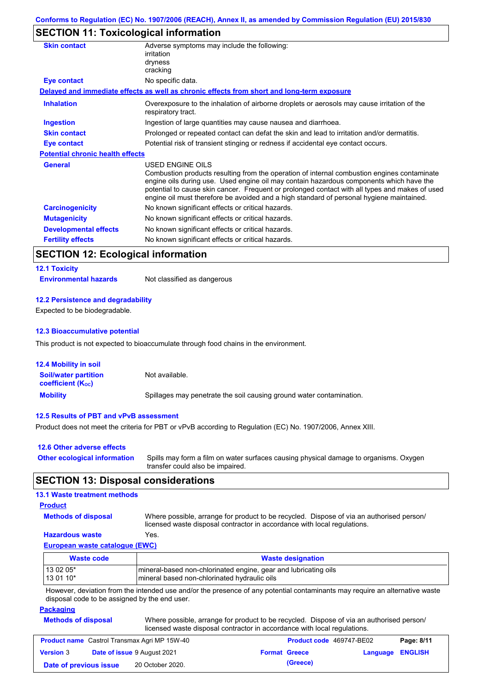## **SECTION 11: Toxicological information**

| Adverse symptoms may include the following:<br>irritation                                                                                                                                                                                                                                                                                                                                                       |  |
|-----------------------------------------------------------------------------------------------------------------------------------------------------------------------------------------------------------------------------------------------------------------------------------------------------------------------------------------------------------------------------------------------------------------|--|
| dryness                                                                                                                                                                                                                                                                                                                                                                                                         |  |
| cracking                                                                                                                                                                                                                                                                                                                                                                                                        |  |
| No specific data.                                                                                                                                                                                                                                                                                                                                                                                               |  |
| Delayed and immediate effects as well as chronic effects from short and long-term exposure                                                                                                                                                                                                                                                                                                                      |  |
| Overexposure to the inhalation of airborne droplets or aerosols may cause irritation of the<br>respiratory tract.                                                                                                                                                                                                                                                                                               |  |
| Ingestion of large quantities may cause nausea and diarrhoea.                                                                                                                                                                                                                                                                                                                                                   |  |
| Prolonged or repeated contact can defat the skin and lead to irritation and/or dermatitis.                                                                                                                                                                                                                                                                                                                      |  |
| Potential risk of transient stinging or redness if accidental eye contact occurs.                                                                                                                                                                                                                                                                                                                               |  |
| <b>Potential chronic health effects</b>                                                                                                                                                                                                                                                                                                                                                                         |  |
| <b>USED ENGINE OILS</b><br>Combustion products resulting from the operation of internal combustion engines contaminate<br>engine oils during use. Used engine oil may contain hazardous components which have the<br>potential to cause skin cancer. Frequent or prolonged contact with all types and makes of used<br>engine oil must therefore be avoided and a high standard of personal hygiene maintained. |  |
| No known significant effects or critical hazards.                                                                                                                                                                                                                                                                                                                                                               |  |
| No known significant effects or critical hazards.                                                                                                                                                                                                                                                                                                                                                               |  |
| No known significant effects or critical hazards.                                                                                                                                                                                                                                                                                                                                                               |  |
| No known significant effects or critical hazards.                                                                                                                                                                                                                                                                                                                                                               |  |
|                                                                                                                                                                                                                                                                                                                                                                                                                 |  |

### **SECTION 12: Ecological information**

#### **12.1 Toxicity**

**Environmental hazards** Not classified as dangerous

#### **12.2 Persistence and degradability**

Expected to be biodegradable.

#### **12.3 Bioaccumulative potential**

This product is not expected to bioaccumulate through food chains in the environment.

| <b>12.4 Mobility in soil</b>                            |                                                                      |
|---------------------------------------------------------|----------------------------------------------------------------------|
| <b>Soil/water partition</b><br><b>coefficient (Koc)</b> | Not available.                                                       |
| <b>Mobility</b>                                         | Spillages may penetrate the soil causing ground water contamination. |

#### **12.5 Results of PBT and vPvB assessment**

Product does not meet the criteria for PBT or vPvB according to Regulation (EC) No. 1907/2006, Annex XIII.

| 12.6 Other adverse effects          |                                                                                                                           |
|-------------------------------------|---------------------------------------------------------------------------------------------------------------------------|
| <b>Other ecological information</b> | Spills may form a film on water surfaces causing physical damage to organisms. Oxygen<br>transfer could also be impaired. |

### **SECTION 13: Disposal considerations**

### **13.1 Waste treatment methods**

#### **Product**

**Methods of disposal**

Where possible, arrange for product to be recycled. Dispose of via an authorised person/

### **Hazardous waste** Yes.

licensed waste disposal contractor in accordance with local regulations.

### **European waste catalogue (EWC)**

| Waste code | <b>Waste designation</b>                                        |  |  |
|------------|-----------------------------------------------------------------|--|--|
| 13 02 05*  | mineral-based non-chlorinated engine, gear and lubricating oils |  |  |
| $130110*$  | mineral based non-chlorinated hydraulic oils                    |  |  |

However, deviation from the intended use and/or the presence of any potential contaminants may require an alternative waste disposal code to be assigned by the end user.

#### **Packaging**

| <b>Methods of disposal</b> | Where possible, arrange for product to be recycled. Dispose of via an authorised person/ |
|----------------------------|------------------------------------------------------------------------------------------|
|                            | licensed waste disposal contractor in accordance with local regulations.                 |

| <b>Product name</b> Castrol Transmax Agri MP 15W-40 |  | <b>Product code</b> 469747-BE02    |  | Page: 8/11           |                         |  |
|-----------------------------------------------------|--|------------------------------------|--|----------------------|-------------------------|--|
| <b>Version 3</b>                                    |  | <b>Date of issue 9 August 2021</b> |  | <b>Format Greece</b> | <b>Language ENGLISH</b> |  |
| Date of previous issue                              |  | 20 October 2020.                   |  | (Greece)             |                         |  |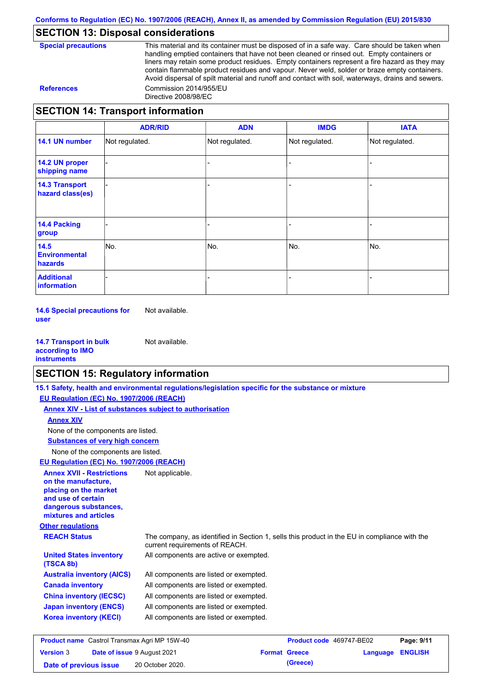### **SECTION 13: Disposal considerations**

| <b>Special precautions</b> |
|----------------------------|
|----------------------------|

This material and its container must be disposed of in a safe way. Care should be taken when handling emptied containers that have not been cleaned or rinsed out. Empty containers or liners may retain some product residues. Empty containers represent a fire hazard as they may contain flammable product residues and vapour. Never weld, solder or braze empty containers. Avoid dispersal of spilt material and runoff and contact with soil, waterways, drains and sewers. **References** Commission 2014/955/EU Directive 2008/98/EC

### **SECTION 14: Transport information**

|                                           | <b>ADR/RID</b> | <b>ADN</b>     | <b>IMDG</b>    | <b>IATA</b>    |
|-------------------------------------------|----------------|----------------|----------------|----------------|
| 14.1 UN number                            | Not regulated. | Not regulated. | Not regulated. | Not regulated. |
| 14.2 UN proper<br>shipping name           |                |                |                |                |
| <b>14.3 Transport</b><br>hazard class(es) |                |                |                |                |
| <b>14.4 Packing</b><br>group              |                |                |                |                |
| 14.5<br><b>Environmental</b><br>hazards   | No.            | No.            | No.            | No.            |
| <b>Additional</b><br>information          |                |                |                |                |

**14.6 Special precautions for user** Not available.

**14.7 Transport in bulk according to IMO instruments** Not available.

### **SECTION 15: Regulatory information**

|                                                                                                                                                          | 15.1 Safety, health and environmental regulations/legislation specific for the substance or mixture                            |                          |          |                |
|----------------------------------------------------------------------------------------------------------------------------------------------------------|--------------------------------------------------------------------------------------------------------------------------------|--------------------------|----------|----------------|
| EU Regulation (EC) No. 1907/2006 (REACH)                                                                                                                 |                                                                                                                                |                          |          |                |
| Annex XIV - List of substances subject to authorisation                                                                                                  |                                                                                                                                |                          |          |                |
| <b>Annex XIV</b>                                                                                                                                         |                                                                                                                                |                          |          |                |
| None of the components are listed.                                                                                                                       |                                                                                                                                |                          |          |                |
| <b>Substances of very high concern</b>                                                                                                                   |                                                                                                                                |                          |          |                |
| None of the components are listed.                                                                                                                       |                                                                                                                                |                          |          |                |
| EU Regulation (EC) No. 1907/2006 (REACH)                                                                                                                 |                                                                                                                                |                          |          |                |
| <b>Annex XVII - Restrictions</b><br>on the manufacture.<br>placing on the market<br>and use of certain<br>dangerous substances,<br>mixtures and articles | Not applicable.                                                                                                                |                          |          |                |
| <b>Other regulations</b>                                                                                                                                 |                                                                                                                                |                          |          |                |
| <b>REACH Status</b>                                                                                                                                      | The company, as identified in Section 1, sells this product in the EU in compliance with the<br>current requirements of REACH. |                          |          |                |
| <b>United States inventory</b><br>(TSCA 8b)                                                                                                              | All components are active or exempted.                                                                                         |                          |          |                |
| <b>Australia inventory (AICS)</b>                                                                                                                        | All components are listed or exempted.                                                                                         |                          |          |                |
| <b>Canada inventory</b>                                                                                                                                  | All components are listed or exempted.                                                                                         |                          |          |                |
| <b>China inventory (IECSC)</b>                                                                                                                           | All components are listed or exempted.                                                                                         |                          |          |                |
| <b>Japan inventory (ENCS)</b>                                                                                                                            | All components are listed or exempted.                                                                                         |                          |          |                |
| <b>Korea inventory (KECI)</b>                                                                                                                            | All components are listed or exempted.                                                                                         |                          |          |                |
| <b>Product name</b> Castrol Transmax Agri MP 15W-40                                                                                                      |                                                                                                                                | Product code 469747-BE02 |          | Page: 9/11     |
| Date of issue 9 August 2021<br><b>Version 3</b>                                                                                                          |                                                                                                                                | <b>Format Greece</b>     | Language | <b>ENGLISH</b> |

**Date of previous issue (Greece)** 20 October 2020.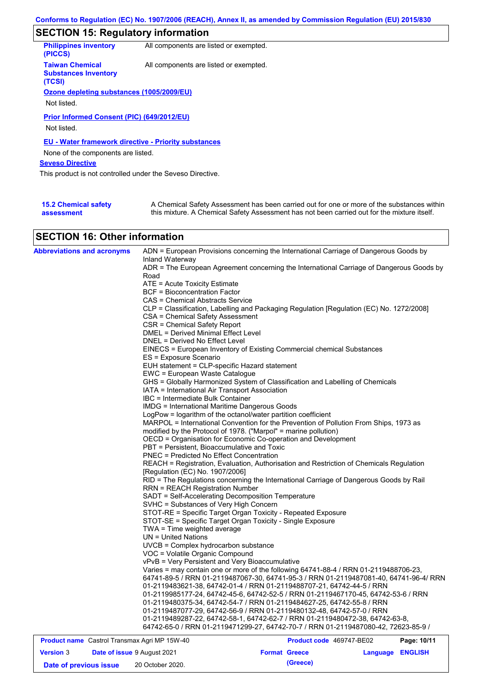## **SECTION 15: Regulatory information**

| <b>Philippines inventory</b><br>(PICCS)                         | All components are listed or exempted. |
|-----------------------------------------------------------------|----------------------------------------|
| <b>Taiwan Chemical</b><br><b>Substances Inventory</b><br>(TCSI) | All components are listed or exempted. |
| Ozone depleting substances (1005/2009/EU)                       |                                        |
|                                                                 |                                        |
| Not listed.                                                     |                                        |
| Prior Informed Consent (PIC) (649/2012/EU)<br>Not listed.       |                                        |
| <b>EU - Water framework directive - Priority substances</b>     |                                        |
| None of the components are listed.                              |                                        |
| <b>Seveso Directive</b>                                         |                                        |
| This product is not controlled under the Seveso Directive.      |                                        |
|                                                                 |                                        |
|                                                                 |                                        |

| <b>15.2 Chemical safety</b> | A Chemical Safety Assessment has been carried out for one or more of the substances within  |
|-----------------------------|---------------------------------------------------------------------------------------------|
| assessment                  | this mixture. A Chemical Safety Assessment has not been carried out for the mixture itself. |

### **SECTION 16: Other information**

| <b>Abbreviations and acronyms</b>                   | Inland Waterway                                                 | ADN = European Provisions concerning the International Carriage of Dangerous Goods by                                                                              |             |
|-----------------------------------------------------|-----------------------------------------------------------------|--------------------------------------------------------------------------------------------------------------------------------------------------------------------|-------------|
|                                                     |                                                                 | ADR = The European Agreement concerning the International Carriage of Dangerous Goods by                                                                           |             |
|                                                     | Road                                                            |                                                                                                                                                                    |             |
|                                                     | $ATE = Acute Toxicity Estimate$                                 |                                                                                                                                                                    |             |
|                                                     | BCF = Bioconcentration Factor                                   |                                                                                                                                                                    |             |
|                                                     | CAS = Chemical Abstracts Service                                |                                                                                                                                                                    |             |
|                                                     |                                                                 | CLP = Classification, Labelling and Packaging Regulation [Regulation (EC) No. 1272/2008]                                                                           |             |
|                                                     | CSA = Chemical Safety Assessment                                |                                                                                                                                                                    |             |
|                                                     | CSR = Chemical Safety Report                                    |                                                                                                                                                                    |             |
|                                                     | DMEL = Derived Minimal Effect Level                             |                                                                                                                                                                    |             |
|                                                     | DNEL = Derived No Effect Level                                  |                                                                                                                                                                    |             |
|                                                     |                                                                 | EINECS = European Inventory of Existing Commercial chemical Substances                                                                                             |             |
|                                                     | ES = Exposure Scenario                                          |                                                                                                                                                                    |             |
|                                                     | EUH statement = CLP-specific Hazard statement                   |                                                                                                                                                                    |             |
|                                                     | EWC = European Waste Catalogue                                  |                                                                                                                                                                    |             |
|                                                     |                                                                 | GHS = Globally Harmonized System of Classification and Labelling of Chemicals                                                                                      |             |
|                                                     | IATA = International Air Transport Association                  |                                                                                                                                                                    |             |
|                                                     | IBC = Intermediate Bulk Container                               |                                                                                                                                                                    |             |
|                                                     | <b>IMDG = International Maritime Dangerous Goods</b>            |                                                                                                                                                                    |             |
|                                                     | LogPow = logarithm of the octanol/water partition coefficient   |                                                                                                                                                                    |             |
|                                                     |                                                                 | MARPOL = International Convention for the Prevention of Pollution From Ships, 1973 as                                                                              |             |
|                                                     | modified by the Protocol of 1978. ("Marpol" = marine pollution) |                                                                                                                                                                    |             |
|                                                     |                                                                 | OECD = Organisation for Economic Co-operation and Development                                                                                                      |             |
|                                                     | PBT = Persistent, Bioaccumulative and Toxic                     |                                                                                                                                                                    |             |
|                                                     | <b>PNEC = Predicted No Effect Concentration</b>                 |                                                                                                                                                                    |             |
|                                                     |                                                                 | REACH = Registration, Evaluation, Authorisation and Restriction of Chemicals Regulation                                                                            |             |
|                                                     | [Regulation (EC) No. 1907/2006]                                 |                                                                                                                                                                    |             |
|                                                     |                                                                 | RID = The Regulations concerning the International Carriage of Dangerous Goods by Rail                                                                             |             |
|                                                     | <b>RRN = REACH Registration Number</b>                          |                                                                                                                                                                    |             |
|                                                     | SADT = Self-Accelerating Decomposition Temperature              |                                                                                                                                                                    |             |
|                                                     | SVHC = Substances of Very High Concern                          |                                                                                                                                                                    |             |
|                                                     |                                                                 | STOT-RE = Specific Target Organ Toxicity - Repeated Exposure                                                                                                       |             |
|                                                     | STOT-SE = Specific Target Organ Toxicity - Single Exposure      |                                                                                                                                                                    |             |
|                                                     | TWA = Time weighted average                                     |                                                                                                                                                                    |             |
|                                                     | UN = United Nations                                             |                                                                                                                                                                    |             |
|                                                     | UVCB = Complex hydrocarbon substance                            |                                                                                                                                                                    |             |
|                                                     | VOC = Volatile Organic Compound                                 |                                                                                                                                                                    |             |
|                                                     | vPvB = Very Persistent and Very Bioaccumulative                 |                                                                                                                                                                    |             |
|                                                     |                                                                 | Varies = may contain one or more of the following 64741-88-4 / RRN 01-2119488706-23,                                                                               |             |
|                                                     |                                                                 | 64741-89-5 / RRN 01-2119487067-30, 64741-95-3 / RRN 01-2119487081-40, 64741-96-4/ RRN                                                                              |             |
|                                                     |                                                                 | 01-2119483621-38, 64742-01-4 / RRN 01-2119488707-21, 64742-44-5 / RRN                                                                                              |             |
|                                                     |                                                                 | 01-2119985177-24, 64742-45-6, 64742-52-5 / RRN 01-2119467170-45, 64742-53-6 / RRN                                                                                  |             |
|                                                     |                                                                 | 01-2119480375-34, 64742-54-7 / RRN 01-2119484627-25, 64742-55-8 / RRN                                                                                              |             |
|                                                     |                                                                 | 01-2119487077-29, 64742-56-9 / RRN 01-2119480132-48, 64742-57-0 / RRN                                                                                              |             |
|                                                     |                                                                 | 01-2119489287-22, 64742-58-1, 64742-62-7 / RRN 01-2119480472-38, 64742-63-8,<br>64742-65-0 / RRN 01-2119471299-27, 64742-70-7 / RRN 01-2119487080-42, 72623-85-9 / |             |
|                                                     |                                                                 |                                                                                                                                                                    |             |
| <b>Product name</b> Castrol Transmax Agri MP 15W-40 |                                                                 | Product code 469747-BE02                                                                                                                                           | Page: 10/11 |

|                        | <b>Product name</b> Castrol Hansmax Agril MP 1500-40 |                      |          | <b>Product code</b> 409/4/-DEUZ | Page: 10/11 |
|------------------------|------------------------------------------------------|----------------------|----------|---------------------------------|-------------|
| <b>Version 3</b>       | <b>Date of issue 9 August 2021</b>                   | <b>Format Greece</b> |          | <b>Language ENGLISH</b>         |             |
| Date of previous issue | 20 October 2020.                                     |                      | (Greece) |                                 |             |